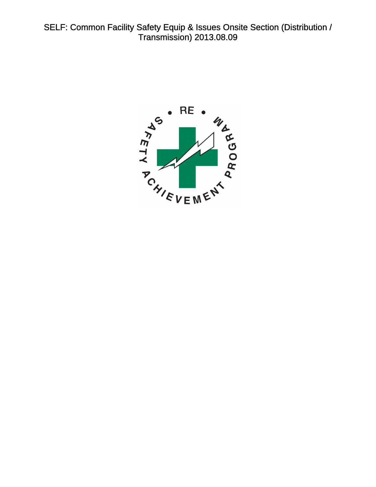<span id="page-0-0"></span>SELF: Common Facility Safety Equip & Issues Onsite Section (Distribution / Transmission) 2013.08.09

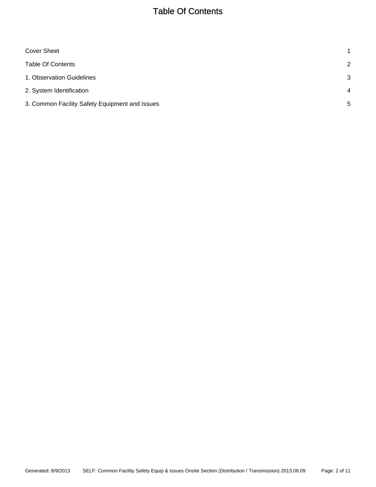# Table Of Contents

<span id="page-1-0"></span>

| Cover Sheet                                    | 1              |
|------------------------------------------------|----------------|
| <b>Table Of Contents</b>                       | 2              |
| 1. Observation Guidelines                      | 3              |
| 2. System Identification                       | $\overline{4}$ |
| 3. Common Facility Safety Equipment and Issues | 5              |
|                                                |                |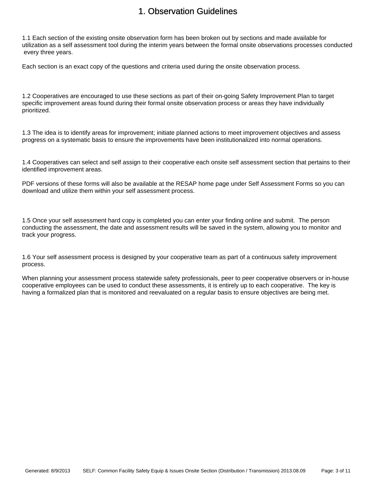## 1. Observation Guidelines

<span id="page-2-0"></span>1.1 Each section of the existing onsite observation form has been broken out by sections and made available for utilization as a self assessment tool during the interim years between the formal onsite observations processes conducted every three years.

Each section is an exact copy of the questions and criteria used during the onsite observation process.

1.2 Cooperatives are encouraged to use these sections as part of their on-going Safety Improvement Plan to target specific improvement areas found during their formal onsite observation process or areas they have individually prioritized.

1.3 The idea is to identify areas for improvement; initiate planned actions to meet improvement objectives and assess progress on a systematic basis to ensure the improvements have been institutionalized into normal operations.

1.4 Cooperatives can select and self assign to their cooperative each onsite self assessment section that pertains to their identified improvement areas.

PDF versions of these forms will also be available at the RESAP home page under Self Assessment Forms so you can download and utilize them within your self assessment process.

1.5 Once your self assessment hard copy is completed you can enter your finding online and submit. The person conducting the assessment, the date and assessment results will be saved in the system, allowing you to monitor and track your progress.

1.6 Your self assessment process is designed by your cooperative team as part of a continuous safety improvement process.

When planning your assessment process statewide safety professionals, peer to peer cooperative observers or in-house cooperative employees can be used to conduct these assessments, it is entirely up to each cooperative. The key is having a formalized plan that is monitored and reevaluated on a regular basis to ensure objectives are being met.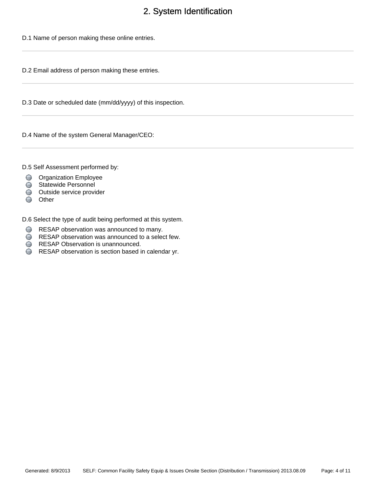# 2. System Identification

<span id="page-3-0"></span>D.1 Name of person making these online entries.

D.2 Email address of person making these entries.

D.3 Date or scheduled date (mm/dd/yyyy) of this inspection.

D.4 Name of the system General Manager/CEO:

D.5 Self Assessment performed by:

- **O** Organization Employee
- Statewide Personnel
- Outside service provider
- Other

D.6 Select the type of audit being performed at this system.

- RESAP observation was announced to many.
- RESAP observation was announced to a select few.
- **RESAP Observation is unannounced.**
- RESAP observation is section based in calendar yr.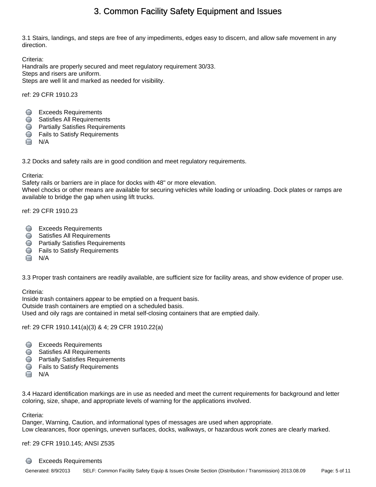<span id="page-4-0"></span>3.1 Stairs, landings, and steps are free of any impediments, edges easy to discern, and allow safe movement in any direction.

Criteria<sup>.</sup> Handrails are properly secured and meet regulatory requirement 30/33. Steps and risers are uniform. Steps are well lit and marked as needed for visibility.

ref: 29 CFR 1910.23

- **Exceeds Requirements**
- Satisfies All Requirements
- **Partially Satisfies Requirements**
- **S** Fails to Satisfy Requirements
- **□** N/A

3.2 Docks and safety rails are in good condition and meet regulatory requirements.

### Criteria:

Safety rails or barriers are in place for docks with 48" or more elevation.

Wheel chocks or other means are available for securing vehicles while loading or unloading. Dock plates or ramps are available to bridge the gap when using lift trucks.

ref: 29 CFR 1910.23

- **Exceeds Requirements**
- **Satisfies All Requirements**
- **Partially Satisfies Requirements**
- **C** Fails to Satisfy Requirements
- **N/A**

3.3 Proper trash containers are readily available, are sufficient size for facility areas, and show evidence of proper use.

### Criteria:

Inside trash containers appear to be emptied on a frequent basis. Outside trash containers are emptied on a scheduled basis.

Used and oily rags are contained in metal self-closing containers that are emptied daily.

ref: 29 CFR 1910.141(a)(3) & 4; 29 CFR 1910.22(a)

- **Exceeds Requirements**
- **Satisfies All Requirements**
- **Partially Satisfies Requirements**
- **S** Fails to Satisfy Requirements
- $\Box$  N/A

3.4 Hazard identification markings are in use as needed and meet the current requirements for background and letter coloring, size, shape, and appropriate levels of warning for the applications involved.

Criteria:

Danger, Warning, Caution, and informational types of messages are used when appropriate. Low clearances, floor openings, uneven surfaces, docks, walkways, or hazardous work zones are clearly marked.

ref: 29 CFR 1910.145; ANSI Z535

#### ∩ Exceeds Requirements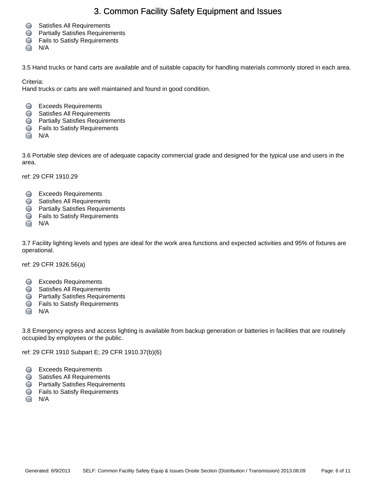- Satisfies All Requirements
- **Partially Satisfies Requirements**
- **S** Fails to Satisfy Requirements
- $\Box$  N/A

3.5 Hand trucks or hand carts are available and of suitable capacity for handling materials commonly stored in each area.

Criteria:

Hand trucks or carts are well maintained and found in good condition.

- **Exceeds Requirements**
- **Satisfies All Requirements**
- **Partially Satisfies Requirements**
- **S** Fails to Satisfy Requirements
- $\Box$  N/A

3.6 Portable step devices are of adequate capacity commercial grade and designed for the typical use and users in the area.

ref: 29 CFR 1910.29

- **Exceeds Requirements**
- **Satisfies All Requirements**
- **Partially Satisfies Requirements**
- **S** Fails to Satisfy Requirements
- $\Box$  N/A

3.7 Facility lighting levels and types are ideal for the work area functions and expected activities and 95% of fixtures are operational.

ref: 29 CFR 1926.56(a)

- **Exceeds Requirements**
- **Satisfies All Requirements**
- **Partially Satisfies Requirements**
- **S** Fails to Satisfy Requirements
- $\Box$  N/A

3.8 Emergency egress and access lighting is available from backup generation or batteries in facilities that are routinely occupied by employees or the public.

ref: 29 CFR 1910 Subpart E; 29 CFR 1910.37(b)(6)

- **Exceeds Requirements**
- Satisfies All Requirements
- **Partially Satisfies Requirements**
- **S** Fails to Satisfy Requirements
- $\Box$  N/A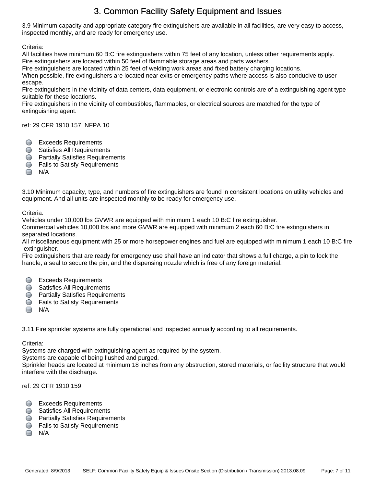3.9 Minimum capacity and appropriate category fire extinguishers are available in all facilities, are very easy to access, inspected monthly, and are ready for emergency use.

Criteria:

All facilities have minimum 60 B:C fire extinguishers within 75 feet of any location, unless other requirements apply. Fire extinguishers are located within 50 feet of flammable storage areas and parts washers.

Fire extinguishers are located within 25 feet of welding work areas and fixed battery charging locations.

When possible, fire extinguishers are located near exits or emergency paths where access is also conducive to user escape.

Fire extinguishers in the vicinity of data centers, data equipment, or electronic controls are of a extinguishing agent type suitable for these locations.

Fire extinguishers in the vicinity of combustibles, flammables, or electrical sources are matched for the type of extinguishing agent.

ref: 29 CFR 1910.157; NFPA 10

- **Exceeds Requirements**
- Satisfies All Requirements
- **Partially Satisfies Requirements**
- **S** Fails to Satisfy Requirements
- $\Box$  N/A

3.10 Minimum capacity, type, and numbers of fire extinguishers are found in consistent locations on utility vehicles and equipment. And all units are inspected monthly to be ready for emergency use.

### Criteria:

Vehicles under 10,000 lbs GVWR are equipped with minimum 1 each 10 B:C fire extinguisher.

Commercial vehicles 10,000 lbs and more GVWR are equipped with minimum 2 each 60 B:C fire extinguishers in separated locations.

All miscellaneous equipment with 25 or more horsepower engines and fuel are equipped with minimum 1 each 10 B:C fire extinguisher.

Fire extinguishers that are ready for emergency use shall have an indicator that shows a full charge, a pin to lock the handle, a seal to secure the pin, and the dispensing nozzle which is free of any foreign material.

- **C** Exceeds Requirements
- **Satisfies All Requirements**
- **Partially Satisfies Requirements**
- **C** Fails to Satisfy Requirements
- $\Box$  N/A

3.11 Fire sprinkler systems are fully operational and inspected annually according to all requirements.

Criteria:

Systems are charged with extinguishing agent as required by the system.

Systems are capable of being flushed and purged.

Sprinkler heads are located at minimum 18 inches from any obstruction, stored materials, or facility structure that would interfere with the discharge.

ref: 29 CFR 1910.159

- **C** Exceeds Requirements
- **Satisfies All Requirements**
- **C** Partially Satisfies Requirements
- **S** Fails to Satisfy Requirements
- $N/A$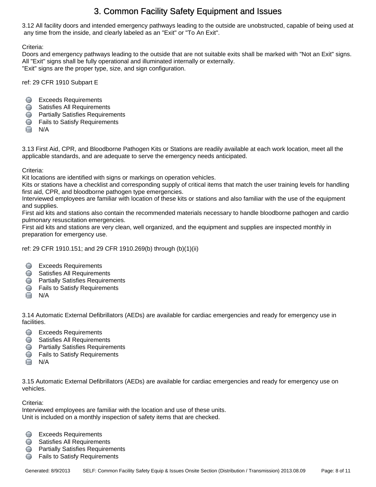3.12 All facility doors and intended emergency pathways leading to the outside are unobstructed, capable of being used at any time from the inside, and clearly labeled as an "Exit" or "To An Exit".

Criteria:

Doors and emergency pathways leading to the outside that are not suitable exits shall be marked with "Not an Exit" signs. All "Exit" signs shall be fully operational and illuminated internally or externally. "Exit" signs are the proper type, size, and sign configuration.

ref: 29 CFR 1910 Subpart E

- **Exceeds Requirements**
- **Satisfies All Requirements**
- **Partially Satisfies Requirements**
- **S** Fails to Satisfy Requirements
- $\Box$  N/A

3.13 First Aid, CPR, and Bloodborne Pathogen Kits or Stations are readily available at each work location, meet all the applicable standards, and are adequate to serve the emergency needs anticipated.

Criteria:

Kit locations are identified with signs or markings on operation vehicles.

Kits or stations have a checklist and corresponding supply of critical items that match the user training levels for handling first aid, CPR, and bloodborne pathogen type emergencies.

Interviewed employees are familiar with location of these kits or stations and also familiar with the use of the equipment and supplies.

First aid kits and stations also contain the recommended materials necessary to handle bloodborne pathogen and cardio pulmonary resuscitation emergencies.

First aid kits and stations are very clean, well organized, and the equipment and supplies are inspected monthly in preparation for emergency use.

ref: 29 CFR 1910.151; and 29 CFR 1910.269(b) through (b)(1)(ii)

- Exceeds Requirements
- Satisfies All Requirements
- **Partially Satisfies Requirements**
- **C** Fails to Satisfy Requirements
- $\Box$  N/A

3.14 Automatic External Defibrillators (AEDs) are available for cardiac emergencies and ready for emergency use in facilities.

- Exceeds Requirements
- **Satisfies All Requirements**
- **C** Partially Satisfies Requirements
- **S** Fails to Satisfy Requirements
- $\Box$  N/A

3.15 Automatic External Defibrillators (AEDs) are available for cardiac emergencies and ready for emergency use on vehicles.

Criteria:

Interviewed employees are familiar with the location and use of these units. Unit is included on a monthly inspection of safety items that are checked.

- **Exceeds Requirements**
- **Satisfies All Requirements**
- **Partially Satisfies Requirements**
- **S** Fails to Satisfy Requirements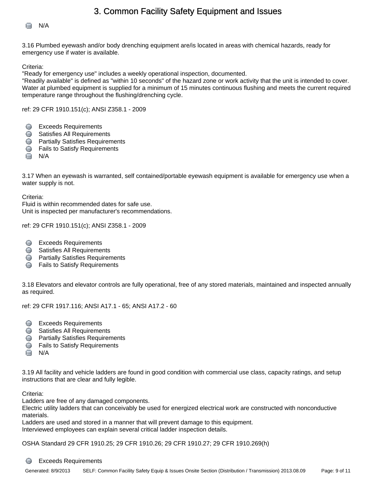



3.16 Plumbed eyewash and/or body drenching equipment are/is located in areas with chemical hazards, ready for emergency use if water is available.

Criteria:

"Ready for emergency use" includes a weekly operational inspection, documented.

"Readily available" is defined as "within 10 seconds" of the hazard zone or work activity that the unit is intended to cover. Water at plumbed equipment is supplied for a minimum of 15 minutes continuous flushing and meets the current required temperature range throughout the flushing/drenching cycle.

ref: 29 CFR 1910.151(c); ANSI Z358.1 - 2009

- **Exceeds Requirements**
- **Satisfies All Requirements**
- **Partially Satisfies Requirements**
- **S** Fails to Satisfy Requirements
- $\Box$  N/A

3.17 When an eyewash is warranted, self contained/portable eyewash equipment is available for emergency use when a water supply is not.

Criteria:

Fluid is within recommended dates for safe use. Unit is inspected per manufacturer's recommendations.

ref: 29 CFR 1910.151(c); ANSI Z358.1 - 2009

- Exceeds Requirements
- **Satisfies All Requirements**
- **Partially Satisfies Requirements**
- **C** Fails to Satisfy Requirements

3.18 Elevators and elevator controls are fully operational, free of any stored materials, maintained and inspected annually as required.

ref: 29 CFR 1917.116; ANSI A17.1 - 65; ANSI A17.2 - 60

- **Exceeds Requirements**
- Satisfies All Requirements
- **Partially Satisfies Requirements**
- **S** Fails to Satisfy Requirements
- $\Box$  N/A

3.19 All facility and vehicle ladders are found in good condition with commercial use class, capacity ratings, and setup instructions that are clear and fully legible.

Criteria:

Ladders are free of any damaged components.

Electric utility ladders that can conceivably be used for energized electrical work are constructed with nonconductive materials.

Ladders are used and stored in a manner that will prevent damage to this equipment.

Interviewed employees can explain several critical ladder inspection details.

OSHA Standard 29 CFR 1910.25; 29 CFR 1910.26; 29 CFR 1910.27; 29 CFR 1910.269(h)

#### O Exceeds Requirements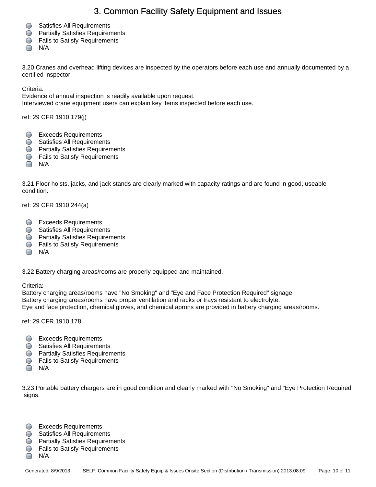- **Satisfies All Requirements**
- **Partially Satisfies Requirements**
- **S** Fails to Satisfy Requirements
- $\Box$  N/A

3.20 Cranes and overhead lifting devices are inspected by the operators before each use and annually documented by a certified inspector.

Criteria:

Evidence of annual inspection is readily available upon request.

Interviewed crane equipment users can explain key items inspected before each use.

ref: 29 CFR 1910.179(j)

- **Exceeds Requirements**
- **Satisfies All Requirements**
- **Partially Satisfies Requirements**
- **S** Fails to Satisfy Requirements
- $\Box$  N/A

3.21 Floor hoists, jacks, and jack stands are clearly marked with capacity ratings and are found in good, useable condition.

ref: 29 CFR 1910.244(a)

- **Exceeds Requirements**
- **Satisfies All Requirements**
- **Partially Satisfies Requirements**
- **S** Fails to Satisfy Requirements
- $\Box$  N/A

3.22 Battery charging areas/rooms are properly equipped and maintained.

Criteria:

Battery charging areas/rooms have "No Smoking" and "Eye and Face Protection Required" signage. Battery charging areas/rooms have proper ventilation and racks or trays resistant to electrolyte. Eye and face protection, chemical gloves, and chemical aprons are provided in battery charging areas/rooms.

ref: 29 CFR 1910.178

- **Exceeds Requirements**
- **Satisfies All Requirements**
- **C** Partially Satisfies Requirements
- **S** Fails to Satisfy Requirements
- N/A

3.23 Portable battery chargers are in good condition and clearly marked with "No Smoking" and "Eye Protection Required" signs.

- Exceeds Requirements
- **Satisfies All Requirements**
- **Partially Satisfies Requirements**
- **S** Fails to Satisfy Requirements
- $\Box$  N/A